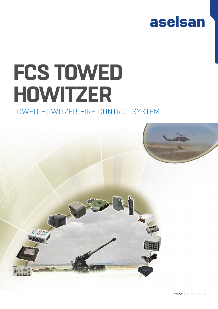## aselsan

# **FCS TOWED HOWITZER** TOWED HOWITZER FIRE CONTROL SYSTEM